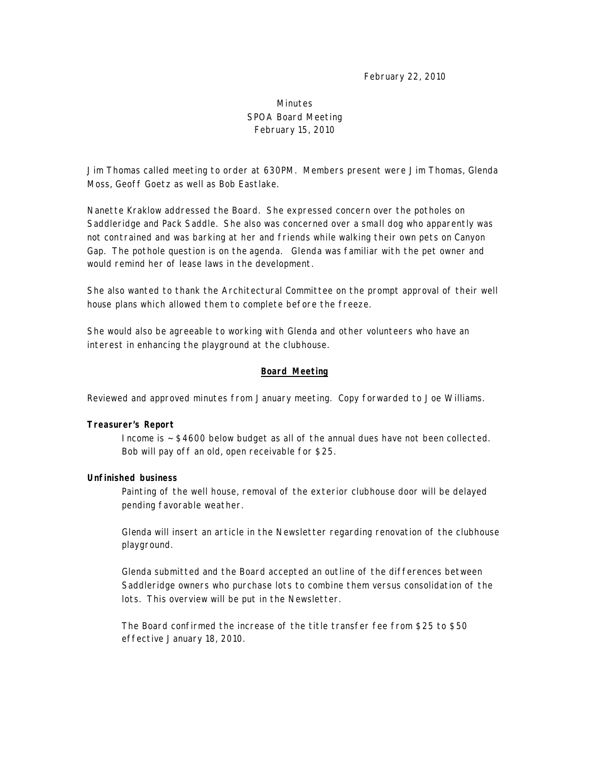February 22, 2010

# Minutes SPOA Board Meeting February 15, 2010

Jim Thomas called meeting to order at 630PM. Members present were Jim Thomas, Glenda Moss, Geoff Goetz as well as Bob Eastlake.

Nanette Kraklow addressed the Board. She expressed concern over the potholes on Saddleridge and Pack Saddle. She also was concerned over a small dog who apparently was not contrained and was barking at her and friends while walking their own pets on Canyon Gap. The pothole question is on the agenda. Glenda was familiar with the pet owner and would remind her of lease laws in the development.

She also wanted to thank the Architectural Committee on the prompt approval of their well house plans which allowed them to complete before the freeze.

She would also be agreeable to working with Glenda and other volunteers who have an interest in enhancing the playground at the clubhouse.

# **Board Meeting**

Reviewed and approved minutes from January meeting. Copy forwarded to Joe Williams.

# **Treasurer's Report**

Income is ~ \$4600 below budget as all of the annual dues have not been collected. Bob will pay off an old, open receivable for \$25.

## **Unfinished business**

Painting of the well house, removal of the exterior clubhouse door will be delayed pending favorable weather.

Glenda will insert an article in the Newsletter regarding renovation of the clubhouse playground.

Glenda submitted and the Board accepted an outline of the differences between Saddleridge owners who purchase lots to combine them versus consolidation of the lots. This overview will be put in the Newsletter.

The Board confirmed the increase of the title transfer fee from \$25 to \$50 effective January 18, 2010.